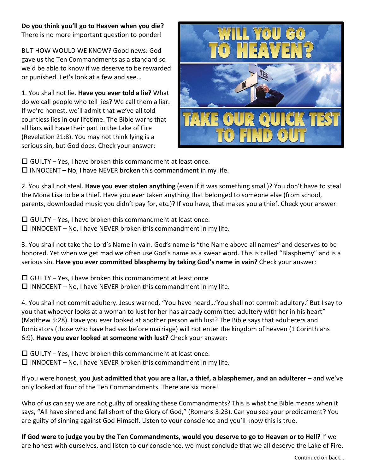## **Do you think you'll go to Heaven when you die?**

There is no more important question to ponder!

BUT HOW WOULD WE KNOW? Good news: God gave us the Ten Commandments as a standard so we'd be able to know if we deserve to be rewarded or punished. Let's look at a few and see…

1. You shall not lie. **Have you ever told a lie?** What do we call people who tell lies? We call them a liar. If we're honest, we'll admit that we've all told countless lies in our lifetime. The Bible warns that all liars will have their part in the Lake of Fire (Revelation 21:8). You may not think lying is a serious sin, but God does. Check your answer:



 $\Box$  GUILTY – Yes, I have broken this commandment at least once.  $\Box$  INNOCENT – No, I have NEVER broken this commandment in my life.

2. You shall not steal. **Have you ever stolen anything** (even if it was something small)? You don't have to steal the Mona Lisa to be a thief. Have you ever taken anything that belonged to someone else (from school, parents, downloaded music you didn't pay for, etc.)? If you have, that makes you a thief. Check your answer:

 $\Box$  GUILTY – Yes, I have broken this commandment at least once.  $\Box$  INNOCENT – No, I have NEVER broken this commandment in my life.

3. You shall not take the Lord's Name in vain. God's name is "the Name above all names" and deserves to be honored. Yet when we get mad we often use God's name as a swear word. This is called "Blasphemy" and is a serious sin. **Have you ever committed blasphemy by taking God's name in vain?** Check your answer:

 $\Box$  GUILTY – Yes, I have broken this commandment at least once.  $\Box$  INNOCENT – No, I have NEVER broken this commandment in my life.

4. You shall not commit adultery. Jesus warned, "You have heard…'You shall not commit adultery.' But I say to you that whoever looks at a woman to lust for her has already committed adultery with her in his heart" (Matthew 5:28). Have you ever looked at another person with lust? The Bible says that adulterers and fornicators (those who have had sex before marriage) will not enter the kingdom of heaven (1 Corinthians 6:9). **Have you ever looked at someone with lust?** Check your answer:

 $\Box$  GUILTY – Yes, I have broken this commandment at least once.  $\Box$  INNOCENT – No, I have NEVER broken this commandment in my life.

If you were honest, **you just admitted that you are a liar, a thief, a blasphemer, and an adulterer** – and we've only looked at four of the Ten Commandments. There are six more!

Who of us can say we are not guilty of breaking these Commandments? This is what the Bible means when it says, "All have sinned and fall short of the Glory of God," (Romans 3:23). Can you see your predicament? You are guilty of sinning against God Himself. Listen to your conscience and you'll know this is true.

**If God were to judge you by the Ten Commandments, would you deserve to go to Heaven or to Hell?** If we are honest with ourselves, and listen to our conscience, we must conclude that we all deserve the Lake of Fire.